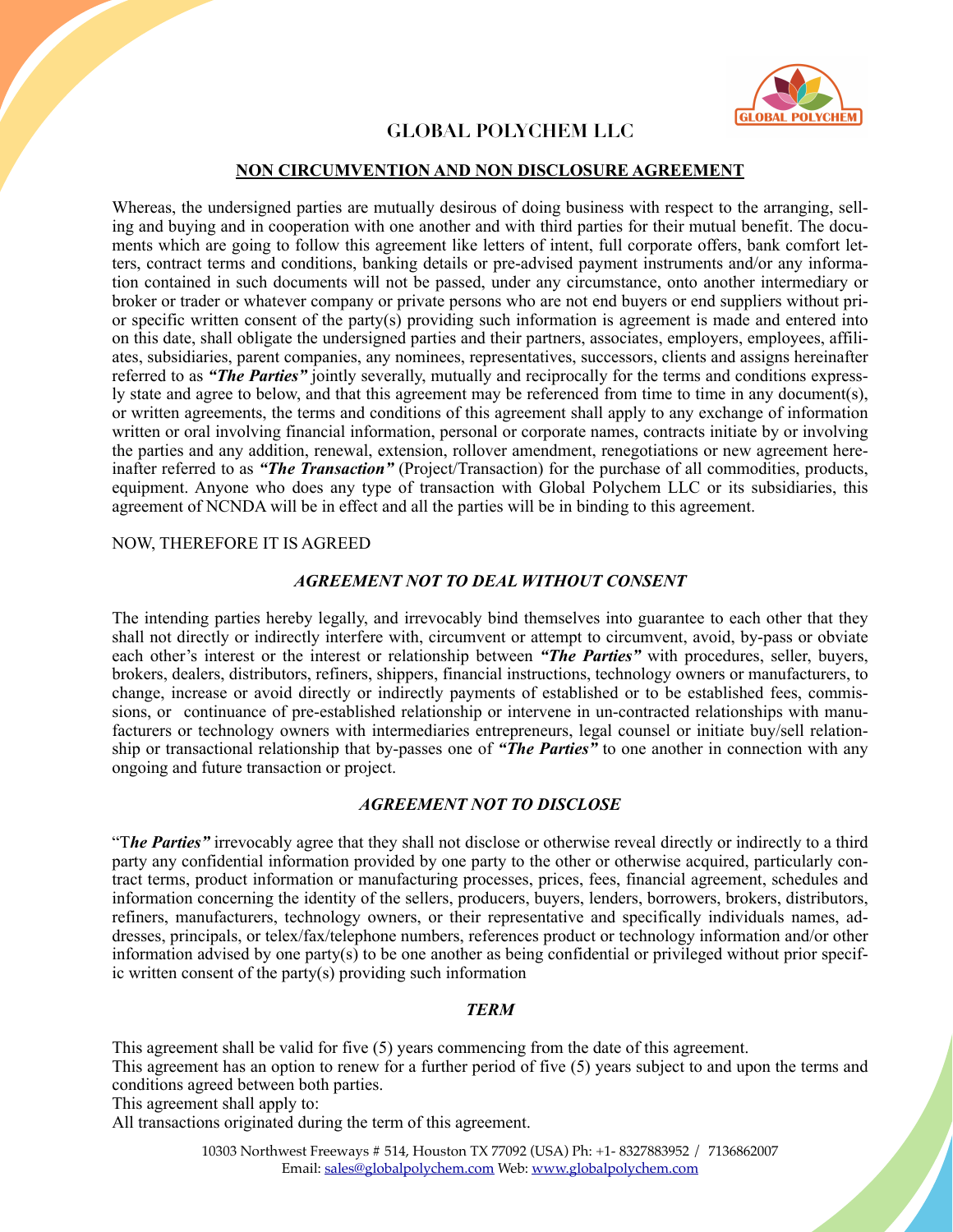

## **GLOBAL POLYCHEM LLC**

### **NON CIRCUMVENTION AND NON DISCLOSURE AGREEMENT**

Whereas, the undersigned parties are mutually desirous of doing business with respect to the arranging, selling and buying and in cooperation with one another and with third parties for their mutual benefit. The documents which are going to follow this agreement like letters of intent, full corporate offers, bank comfort letters, contract terms and conditions, banking details or pre-advised payment instruments and/or any information contained in such documents will not be passed, under any circumstance, onto another intermediary or broker or trader or whatever company or private persons who are not end buyers or end suppliers without prior specific written consent of the party(s) providing such information is agreement is made and entered into on this date, shall obligate the undersigned parties and their partners, associates, employers, employees, affiliates, subsidiaries, parent companies, any nominees, representatives, successors, clients and assigns hereinafter referred to as *"The Parties"* jointly severally, mutually and reciprocally for the terms and conditions expressly state and agree to below, and that this agreement may be referenced from time to time in any document(s), or written agreements, the terms and conditions of this agreement shall apply to any exchange of information written or oral involving financial information, personal or corporate names, contracts initiate by or involving the parties and any addition, renewal, extension, rollover amendment, renegotiations or new agreement hereinafter referred to as *"The Transaction"* (Project/Transaction) for the purchase of all commodities, products, equipment. Anyone who does any type of transaction with Global Polychem LLC or its subsidiaries, this agreement of NCNDA will be in effect and all the parties will be in binding to this agreement.

#### NOW, THEREFORE IT IS AGREED

### *AGREEMENT NOT TO DEAL WITHOUT CONSENT*

The intending parties hereby legally, and irrevocably bind themselves into guarantee to each other that they shall not directly or indirectly interfere with, circumvent or attempt to circumvent, avoid, by-pass or obviate each other's interest or the interest or relationship between *"The Parties"* with procedures, seller, buyers, brokers, dealers, distributors, refiners, shippers, financial instructions, technology owners or manufacturers, to change, increase or avoid directly or indirectly payments of established or to be established fees, commissions, or continuance of pre-established relationship or intervene in un-contracted relationships with manufacturers or technology owners with intermediaries entrepreneurs, legal counsel or initiate buy/sell relationship or transactional relationship that by-passes one of *"The Parties"* to one another in connection with any ongoing and future transaction or project.

### *AGREEMENT NOT TO DISCLOSE*

"T*he Parties"* irrevocably agree that they shall not disclose or otherwise reveal directly or indirectly to a third party any confidential information provided by one party to the other or otherwise acquired, particularly contract terms, product information or manufacturing processes, prices, fees, financial agreement, schedules and information concerning the identity of the sellers, producers, buyers, lenders, borrowers, brokers, distributors, refiners, manufacturers, technology owners, or their representative and specifically individuals names, addresses, principals, or telex/fax/telephone numbers, references product or technology information and/or other information advised by one party(s) to be one another as being confidential or privileged without prior specific written consent of the party(s) providing such information

### *TERM*

This agreement shall be valid for five (5) years commencing from the date of this agreement. This agreement has an option to renew for a further period of five (5) years subject to and upon the terms and

conditions agreed between both parties. This agreement shall apply to:

All transactions originated during the term of this agreement.

10303 Northwest Freeways # 514, Houston TX 77092 (USA) Ph: +1- 8327883952 / 7136862007 Email: [sales@globalpolychem.com](mailto:sales@globalpolychem.com) Web: [www.globalpolychem.com](http://www.globalpolychem.com)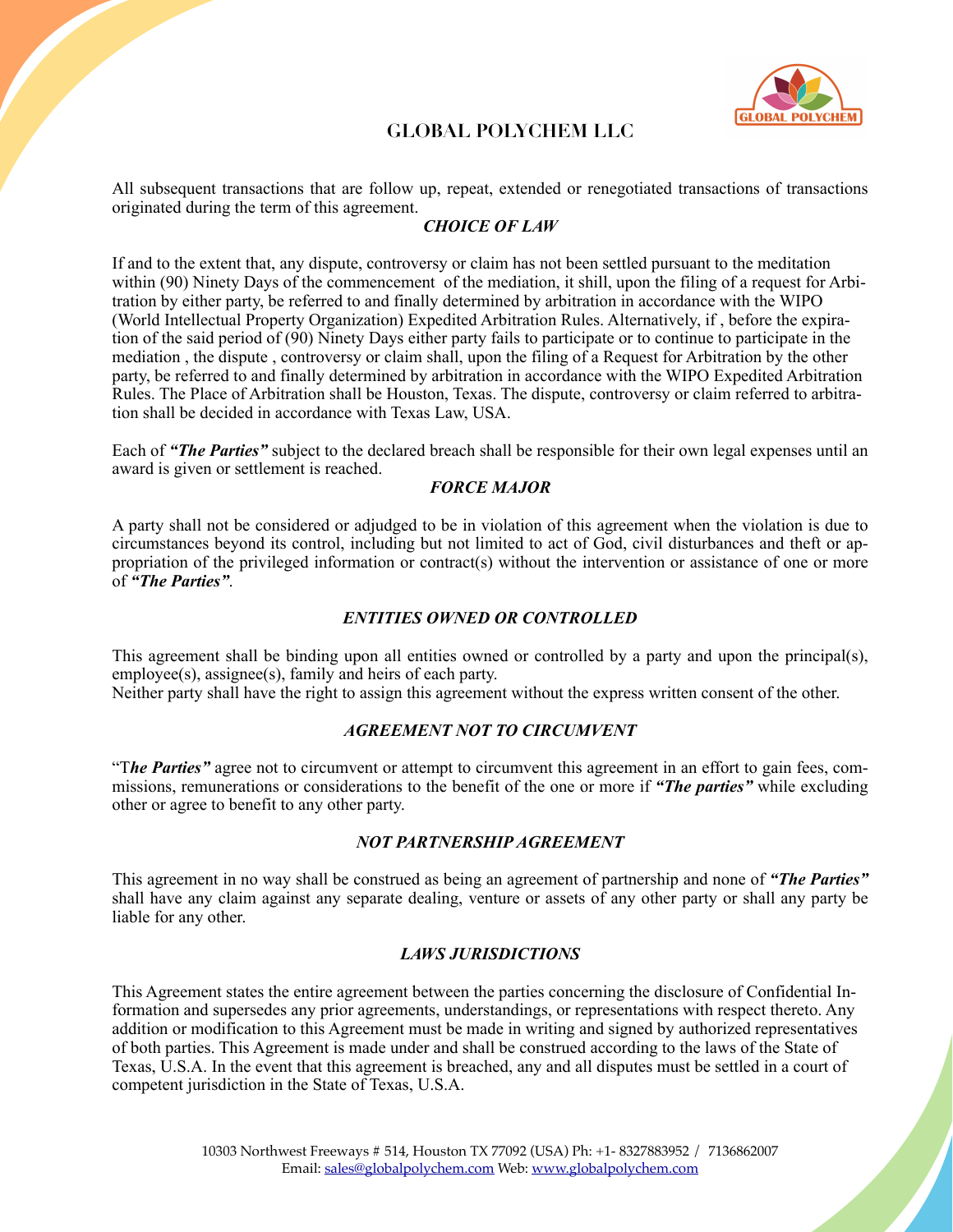

# **GLOBAL POLYCHEM LLC**

All subsequent transactions that are follow up, repeat, extended or renegotiated transactions of transactions originated during the term of this agreement.

## *CHOICE OF LAW*

If and to the extent that, any dispute, controversy or claim has not been settled pursuant to the meditation within (90) Ninety Days of the commencement of the mediation, it shill, upon the filing of a request for Arbitration by either party, be referred to and finally determined by arbitration in accordance with the WIPO (World Intellectual Property Organization) Expedited Arbitration Rules. Alternatively, if , before the expiration of the said period of (90) Ninety Days either party fails to participate or to continue to participate in the mediation , the dispute , controversy or claim shall, upon the filing of a Request for Arbitration by the other party, be referred to and finally determined by arbitration in accordance with the WIPO Expedited Arbitration Rules. The Place of Arbitration shall be Houston, Texas. The dispute, controversy or claim referred to arbitration shall be decided in accordance with Texas Law, USA.

Each of *"The Parties"* subject to the declared breach shall be responsible for their own legal expenses until an award is given or settlement is reached.

### *FORCE MAJOR*

A party shall not be considered or adjudged to be in violation of this agreement when the violation is due to circumstances beyond its control, including but not limited to act of God, civil disturbances and theft or appropriation of the privileged information or contract(s) without the intervention or assistance of one or more of *"The Parties"*.

#### *ENTITIES OWNED OR CONTROLLED*

This agreement shall be binding upon all entities owned or controlled by a party and upon the principal(s), employee(s), assignee(s), family and heirs of each party.

Neither party shall have the right to assign this agreement without the express written consent of the other.

#### *AGREEMENT NOT TO CIRCUMVENT*

"T*he Parties"* agree not to circumvent or attempt to circumvent this agreement in an effort to gain fees, commissions, remunerations or considerations to the benefit of the one or more if *"The parties"* while excluding other or agree to benefit to any other party.

### *NOT PARTNERSHIP AGREEMENT*

This agreement in no way shall be construed as being an agreement of partnership and none of *"The Parties"* shall have any claim against any separate dealing, venture or assets of any other party or shall any party be liable for any other.

### *LAWS JURISDICTIONS*

This Agreement states the entire agreement between the parties concerning the disclosure of Confidential Information and supersedes any prior agreements, understandings, or representations with respect thereto. Any addition or modification to this Agreement must be made in writing and signed by authorized representatives of both parties. This Agreement is made under and shall be construed according to the laws of the State of Texas, U.S.A. In the event that this agreement is breached, any and all disputes must be settled in a court of competent jurisdiction in the State of Texas, U.S.A.